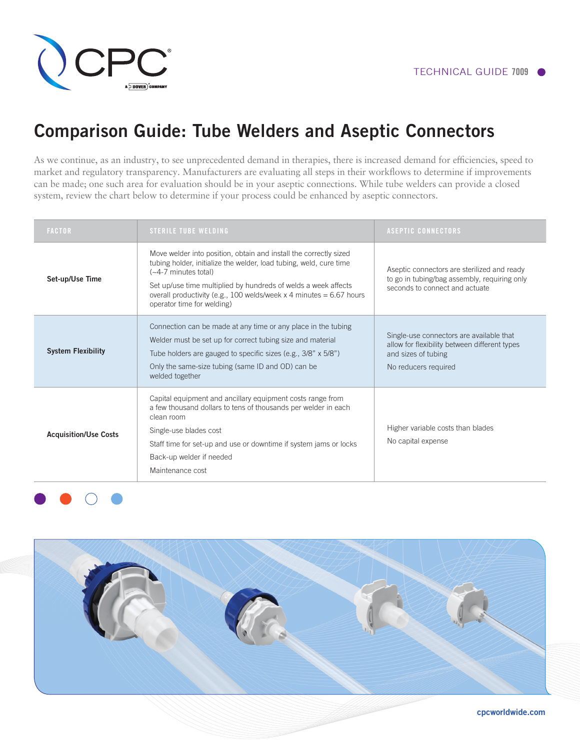

# Comparison Guide: Tube Welders and Aseptic Connectors

As we continue, as an industry, to see unprecedented demand in therapies, there is increased demand for efficiencies, speed to market and regulatory transparency. Manufacturers are evaluating all steps in their workflows to determine if improvements can be made; one such area for evaluation should be in your aseptic connections. While tube welders can provide a closed system, review the chart below to determine if your process could be enhanced by aseptic connectors.

| <b>FACTOR</b>                | <b>STERILE TUBE WELDING</b>                                                                                                                                                                                                                                                                                                                 | <b>ASEPTIC CONNECTORS</b>                                                                                                                |
|------------------------------|---------------------------------------------------------------------------------------------------------------------------------------------------------------------------------------------------------------------------------------------------------------------------------------------------------------------------------------------|------------------------------------------------------------------------------------------------------------------------------------------|
| Set-up/Use Time              | Move welder into position, obtain and install the correctly sized<br>tubing holder, initialize the welder, load tubing, weld, cure time<br>$(-4-7)$ minutes total)<br>Set up/use time multiplied by hundreds of welds a week affects<br>overall productivity (e.g., 100 welds/week x 4 minutes = $6.67$ hours<br>operator time for welding) | Aseptic connectors are sterilized and ready<br>to go in tubing/bag assembly, requiring only<br>seconds to connect and actuate            |
| <b>System Flexibility</b>    | Connection can be made at any time or any place in the tubing<br>Welder must be set up for correct tubing size and material<br>Tube holders are gauged to specific sizes (e.g., 3/8" x 5/8")<br>Only the same-size tubing (same ID and OD) can be<br>welded together                                                                        | Single-use connectors are available that<br>allow for flexibility between different types<br>and sizes of tubing<br>No reducers required |
| <b>Acquisition/Use Costs</b> | Capital equipment and ancillary equipment costs range from<br>a few thousand dollars to tens of thousands per welder in each<br>clean room<br>Single-use blades cost<br>Staff time for set-up and use or downtime if system jams or locks<br>Back-up welder if needed<br>Maintenance cost                                                   | Higher variable costs than blades<br>No capital expense                                                                                  |



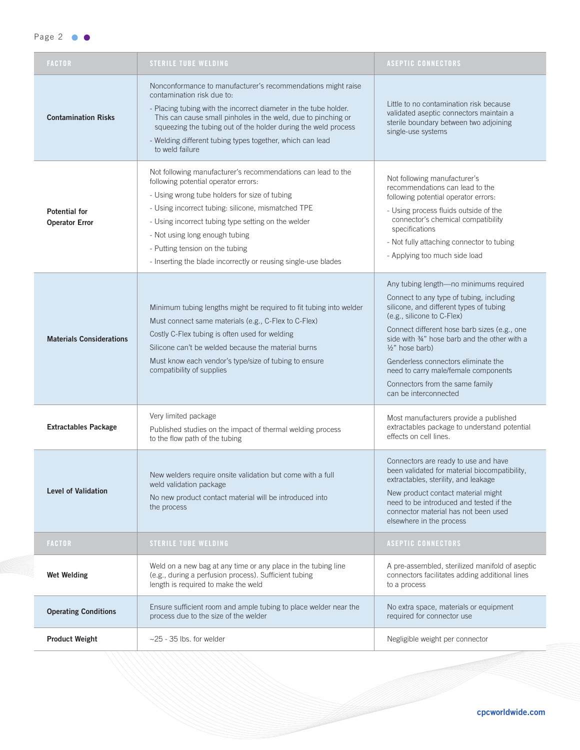### Page 2 **O**

|  | <b>FACTOR</b>                                 | <b>STERILE TUBE WELDING</b>                                                                                                                                                                                                                                                                                                                                                                               | <b>ASEPTIC CONNECTORS</b>                                                                                                                                                                                                                                                                                                                                                                                               |
|--|-----------------------------------------------|-----------------------------------------------------------------------------------------------------------------------------------------------------------------------------------------------------------------------------------------------------------------------------------------------------------------------------------------------------------------------------------------------------------|-------------------------------------------------------------------------------------------------------------------------------------------------------------------------------------------------------------------------------------------------------------------------------------------------------------------------------------------------------------------------------------------------------------------------|
|  | <b>Contamination Risks</b>                    | Nonconformance to manufacturer's recommendations might raise<br>contamination risk due to:<br>- Placing tubing with the incorrect diameter in the tube holder.<br>This can cause small pinholes in the weld, due to pinching or<br>squeezing the tubing out of the holder during the weld process<br>- Welding different tubing types together, which can lead<br>to weld failure                         | Little to no contamination risk because<br>validated aseptic connectors maintain a<br>sterile boundary between two adjoining<br>single-use systems                                                                                                                                                                                                                                                                      |
|  | <b>Potential for</b><br><b>Operator Error</b> | Not following manufacturer's recommendations can lead to the<br>following potential operator errors:<br>- Using wrong tube holders for size of tubing<br>- Using incorrect tubing: silicone, mismatched TPE<br>- Using incorrect tubing type setting on the welder<br>- Not using long enough tubing<br>- Putting tension on the tubing<br>- Inserting the blade incorrectly or reusing single-use blades | Not following manufacturer's<br>recommendations can lead to the<br>following potential operator errors:<br>- Using process fluids outside of the<br>connector's chemical compatibility<br>specifications<br>- Not fully attaching connector to tubing<br>- Applying too much side load                                                                                                                                  |
|  | <b>Materials Considerations</b>               | Minimum tubing lengths might be required to fit tubing into welder<br>Must connect same materials (e.g., C-Flex to C-Flex)<br>Costly C-Flex tubing is often used for welding<br>Silicone can't be welded because the material burns<br>Must know each vendor's type/size of tubing to ensure<br>compatibility of supplies                                                                                 | Any tubing length-no minimums required<br>Connect to any type of tubing, including<br>silicone, and different types of tubing<br>(e.g., silicone to C-Flex)<br>Connect different hose barb sizes (e.g., one<br>side with 34" hose barb and the other with a<br>½" hose barb)<br>Genderless connectors eliminate the<br>need to carry male/female components<br>Connectors from the same family<br>can be interconnected |
|  | <b>Extractables Package</b>                   | Very limited package<br>Published studies on the impact of thermal welding process<br>to the flow path of the tubing                                                                                                                                                                                                                                                                                      | Most manufacturers provide a published<br>extractables package to understand potential<br>effects on cell lines.                                                                                                                                                                                                                                                                                                        |
|  | <b>Level of Validation</b>                    | New welders require onsite validation but come with a full<br>weld validation package<br>No new product contact material will be introduced into<br>the process                                                                                                                                                                                                                                           | Connectors are ready to use and have<br>been validated for material biocompatibility,<br>extractables, sterility, and leakage<br>New product contact material might<br>need to be introduced and tested if the<br>connector material has not been used<br>elsewhere in the process                                                                                                                                      |
|  | <b>FACTOR</b>                                 | <b>STERILE TUBE WELDING</b>                                                                                                                                                                                                                                                                                                                                                                               | <b>ASEPTIC CONNECTORS</b>                                                                                                                                                                                                                                                                                                                                                                                               |
|  | <b>Wet Welding</b>                            | Weld on a new bag at any time or any place in the tubing line<br>(e.g., during a perfusion process). Sufficient tubing<br>length is required to make the weld                                                                                                                                                                                                                                             | A pre-assembled, sterilized manifold of aseptic<br>connectors facilitates adding additional lines<br>to a process                                                                                                                                                                                                                                                                                                       |
|  | <b>Operating Conditions</b>                   | Ensure sufficient room and ample tubing to place welder near the<br>process due to the size of the welder                                                                                                                                                                                                                                                                                                 | No extra space, materials or equipment<br>required for connector use                                                                                                                                                                                                                                                                                                                                                    |
|  | <b>Product Weight</b>                         | $\sim$ 25 - 35 lbs. for welder                                                                                                                                                                                                                                                                                                                                                                            | Negligible weight per connector                                                                                                                                                                                                                                                                                                                                                                                         |